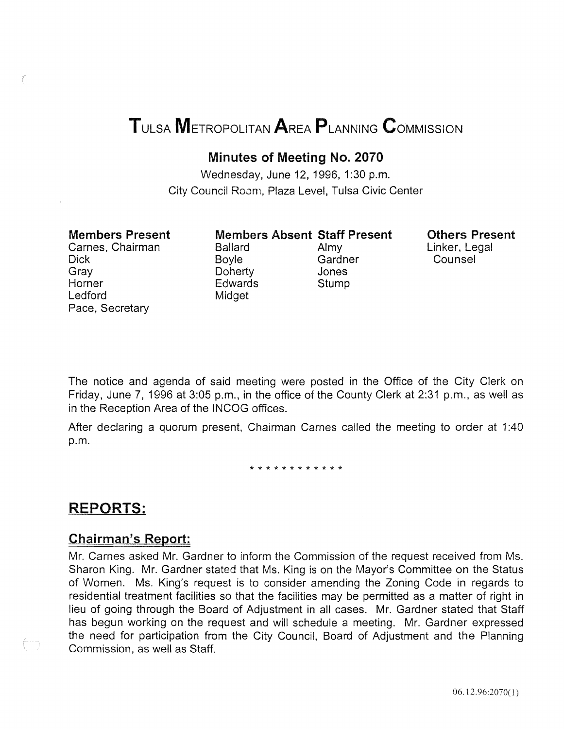# TuLsA METROPOLITAN AREA PLANNING CoMMISSION

### Minutes of Meeting No. 2070

Wednesday, June 12, 1996, 1:30 p.m. City Council Room, Plaza Level, Tulsa Civic Center

### Members Present

Carnes, Chairman Dick Gray **Horner** Ledford Pace, Secretary

Ballard Almy Doherty Edwards Stump Midget

Members Absent Staff Present Boyle Gardner<br>Doherty Jones

Others Present Linker, Legal Counsel

The notice and agenda of said meeting were posted in the Office of the City Clerk on Friday, June 7, 1996 at 3:05 p.m., in the office of the County Clerk at 2:31 p.m., as well as in the Reception Area of the INCOG offices.

After declaring a quorum present, Chairman Carnes called the meeting to order at 1:40 p.m.

\* \* \* \* \* \* \* \* \* \* \* \*

### REPORTS:

### Chairman's Report:

Mr. Carnes asked Mr. Gardner to inform the Commission of the request received from Ms. Sharon King. Mr. Gardner stated that Ms. King is on the Mayor's Committee on the Status of Women. Ms. King's request is to consider amending the Zoning Code in regards to residential treatment facilities so that the facilities may be permitted as a matter of right in lieu of going through the Board of Adjustment in all cases. Mr. Gardner stated that Staff has begun working on the request and will schedule a meeting. Mr. Gardner expressed the need for participation from the City Council, Board of Adjustment and the Planning Commission, as well as Staff.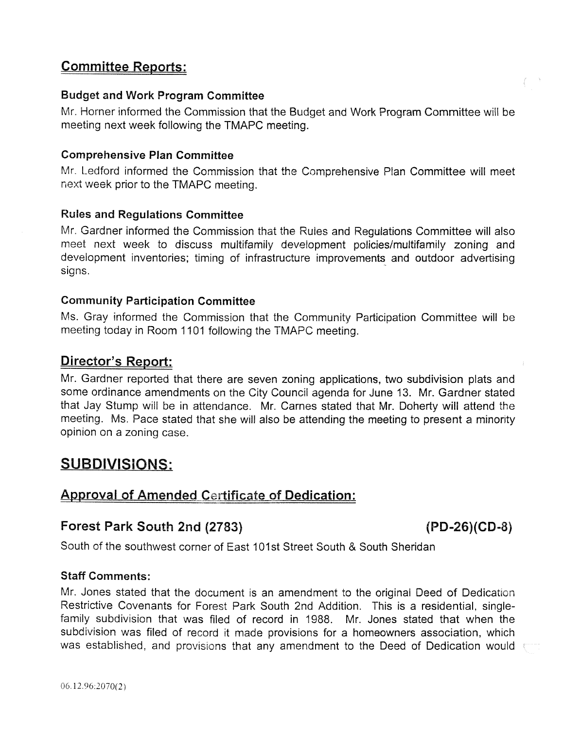### Committee Reports:

### Budget and Work Program Committee

Mr. Horner informed the Commission that the Budget and Work Program Committee will be meeting next week following the TMAPC meeting.

### Comprehensive Plan Committee

Mr. Ledford informed the Commission that the Comprehensive Plan Committee will meet next week prior to the TMAPC meeting.

### Rules and Regulations Committee

Mr. Gardner informed the Commission that the Rules and Regulations Committee will also meet next week to discuss multifamily development policies/multifamily zoning and development inventories; timing of infrastructure improvements and outdoor advertising signs.

### Community Participation Committee

Ms. Gray informed the Commission that the Community Participation Committee will be meeting today in Room 1101 following the TMAPC meeting.

### Director's Report:

Mr. Gardner reported that there are seven zoning applications, two subdivision plats and some ordinance amendments on the City Council agenda for June 13. Mr. Gardner stated that Jay Stump will be in attendance. Mr. Carnes stated that Mr. Doherty will attend the meeting. Ms. Pace stated that she will also be attending the meeting to present a minority opinion on a zoning case.

## SUBDIVISIONS:

### Approval of Amended Certificate of Dedication:

### Forest Park South 2nd (2783) (PD-26)(CD-8)

South of the southwest corner of East 101st Street South & South Sheridan

### Staff Comments:

Mr. Jones stated that the document is an amendment to the original Deed of Dedication Restrictive Covenants for Forest Park South 2nd Addition. This is a residential, singlefamily subdivision that was filed of record in 1988. Mr. Jones stated that when the subdivision was filed of record it made provisions for a homeowners association, which was established, and provisions that any amendment to the Deed of Dedication would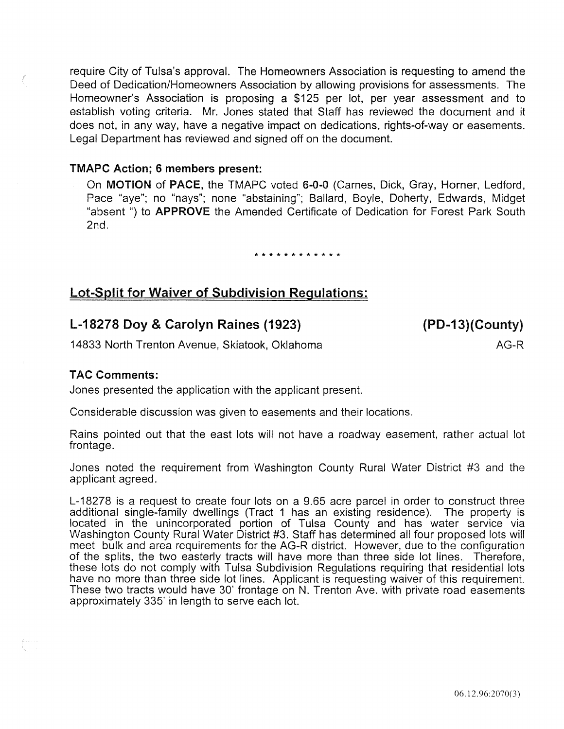require City of Tulsa's approval. The Homeowners Association is requesting to amend the Deed of Dedication/Homeowners Association by allowing provisions for assessments. The Homeowner's Association is proposing a \$125 per lot, per year assessment and to establish voting criteria. Mr. Jones stated that Staff has reviewed the document and it does not, in any way, have a negative impact on dedications, rights-of-way or easements. Legal Department has reviewed and signed off on the document.

### TMAPC Action; 6 members present:

On MOTION of PACE, the TMAPC voted 6-0-0 (Carnes, Dick, Gray, Horner, Ledford, Pace "aye"; no "nays"; none "abstaining"; Ballard, Boyle, Doherty, Edwards, Midget "absent ") to **APPROVE** the Amended Certificate of Dedication for Forest Park South 2nd.

#### \* \* \* \* \* \* \* \* \* \* \* \*

### Lot-Split for Waiver of Subdivision Regulations:

### L-18278 Doy & Carolyn Raines (1923)

(PD-13)(County)

AG-R

14833 North Trenton Avenue, Skiatook, Oklahoma

### **TAC Comments:**

Jones presented the application with the applicant present.

Considerable discussion was given to easements and their locations.

Rains pointed out that the east lots will not have a roadway easement, rather actual lot frontage.

Jones noted the requirement from Washington County Rural Water District #3 and the applicant agreed.

L-18278 is a request to create four lots on a 9.65 acre parcel in order to construct three additional single-family dwellings (Tract 1 has an existing residence). The property is located in the unincorporated portion of Tulsa County and has water service via Washington County Rural Water District #3. Staff has determined all four proposed lots will meet bulk and area requirements for the AG-R district. However, due to the configuration of the splits, the two easterly tracts will have more than three side lot lines. Therefore, these lots do not comply with Tulsa Subdivision Regulations requiring that residential lots have no more than three side lot lines. Applicant is requesting waiver of this requirement. These two tracts would have 30' frontage on N. Trenton Ave. with private road easements approximately 335' in length to serve each lot.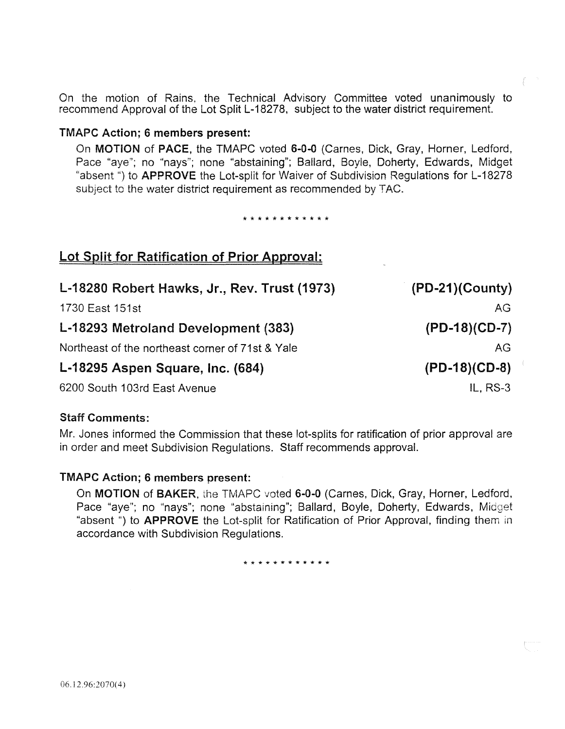On the motion of Rains, the Technical Advisory Committee voted unanimously to recommend Approval of the Lot Split L-18278, subject to the water district requirement.

### TMAPC Action; 6 members present:

On MOTION of PACE, the TMAPC voted 6-0-0 (Carnes, Dick, Gray, Horner, Ledford, Pace "aye"; no "nays"; none "abstaining"; Ballard, Boyle, Doherty, Edwards, Midget "absent ") to **APPROVE** the Lot-split for Waiver of Subdivision Regulations for L-18278 subject to the water district requirement as recommended by TAC.

\*\*\*\*\*\*\*\*\*\*\*\*

| Lot Split for Ratification of Prior Approval:    |                    |
|--------------------------------------------------|--------------------|
| L-18280 Robert Hawks, Jr., Rev. Trust (1973)     | $(PD-21)(Country)$ |
| 1730 East 151st                                  | AG                 |
| L-18293 Metroland Development (383)              | $(PD-18)(CD-7)$    |
| Northeast of the northeast corner of 71st & Yale | AG                 |
| L-18295 Aspen Square, Inc. (684)                 | $(PD-18)(CD-8)$    |
| 6200 South 103rd East Avenue                     | IL, $RS-3$         |

### Staff Comments:

Mr. Jones informed the Commission that these lot-splits for ratification of prior approval are in order and meet Subdivision Regulations. Staff recommends approval.

### TMAPC Action; 6 members present:

On MOTION of BAKER, the TMAPC voted 6-0-0 (Carnes, Dick, Gray, Horner, Ledford, Pace "aye"; no "nays"; none "abstaining"; Ballard, Boyle, Doherty, Edwards, Midget "absent ") to **APPROVE** the Lot-split for Ratification of Prior Approval, finding them in accordance with Subdivision Regulations.

\* \* \* \* \* \* \* \* \* \* \* \*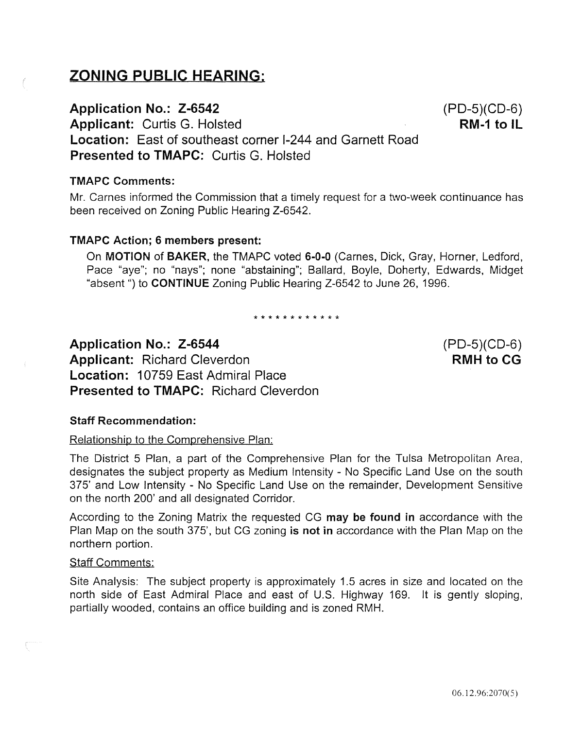# ZONING PUBLIC HEARING:

### Application No.: Z-6542

Applicant: Curtis G. Hoisted

Location: East of southeast corner 1-244 and Garnett Road Presented to TMAPC: Curtis G. Holsted

### TMAPC Comments:

Mr. Carnes informed the Commission that a timely request for a two-week continuance has been received on Zoning Public Hearing Z-6542.

### TMAPC Action; 6 members present:

On MOTION of BAKER, the TMAPC voted 6-0-0 (Carnes, Dick, Gray, Horner, Ledford, Pace "aye"; no "nays"; none "abstaining"; Ballard, Boyle, Doherty, Edwards, Midget "absent ") to CONTINUE Zoning Public Hearing Z-6542 to June 26, 1996.

\*\*\*\*\*\*\*\*\*\*\*\*

Application No.: Z-6544 Applicant: Richard Cleverdon Location: 10759 East Admiral Place Presented to TMAPC: Richard Cleverdon

### Staff Recommendation:

### Relationship to the Comprehensive Plan:

The District 5 Plan, a part of the Comprehensive Plan for the Tulsa Metropolitan Area, designates the subject property as Medium Intensity - No Specific Land Use on the south 375' and Low Intensity - No Specific Land Use on the remainder, Development Sensitive on the north 200' and all designated Corridor.

According to the Zoning Matrix the requested CG may be found in accordance with the Plan Map on the south 375', but CG zoning is not in accordance with the Plan Map on the northern portion.

### Staff Comments:

Site Analysis: The subject property is approximately 1.5 acres in size and located on the north side of East Admiral Place and east of U.S. Highway 169. It is gently sloping, partially wooded, contains an office building and is zoned RMH.

(PD-5)(CD-6) RMH to CG

(PD-5)(CD-6)  $RM-1$  to IL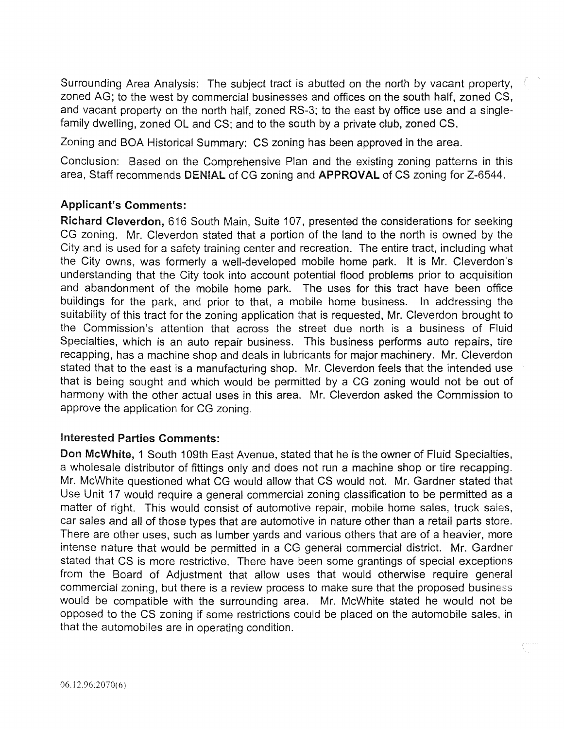Surrounding Area Analysis: The subject tract is abutted on the north by vacant property, zoned AG; to the west by commercial businesses and offices on the south half, zoned CS, and vacant property on the north half, zoned RS-3; to the east by office use and a singlefamily dwelling, zoned OL and CS; and to the south by a private club, zoned CS.

Zoning and BOA Historical Summary: CS zoning has been approved in the area.

Conclusion: Based on the Comprehensive Plan and the existing zoning patterns in this area, Staff recommends DENIAL of CG zoning and APPROVAL of CS zoning for Z-6544.

### Applicant's Comments:

Richard Cleverdon, 616 South Main, Suite 107, presented the considerations for seeking CG zoning. Mr. Cleverdon stated that a portion of the land to the north is owned by the City and is used for a safety training center and recreation. The entire tract, including what the City owns, was formerly a well-developed mobile home park. It is Mr. Cleverdon's understanding that the City took into account potential flood problems prior to acquisition and abandonment of the mobile home park. The uses for this tract have been office buildings for the park, and prior to that, a mobile home business. In addressing the suitability of this tract for the zoning application that is requested, Mr. Cleverdon brought to the Commission's attention that across the street due north is a business of Fluid Specialties, which is an auto repair business. This business performs auto repairs, tire recapping, has a machine shop and deals in lubricants for major machinery. Mr. Cleverdon stated that to the east is a manufacturing shop. Mr. Cleverdon feels that the intended use that is being sought and which would be permitted by a CG zoning would not be out of harmony with the other actual uses in this area. Mr. Cleverdon asked the Commission to approve the application for CG zoning.

### Interested Parties Comments:

Don McWhite, 1 South 109th East Avenue, stated that he is the owner of Fluid Specialties, a wholesale distributor of fittings only and does not run a machine shop or tire recapping. Mr. McWhite questioned what CG would allow that CS would not. Mr. Gardner stated that Use Unit 17 would require a general commercial zoning classification to be permitted as a matter of right. This would consist of automotive repair, mobile home sales, truck sales, car sales and all of those types that are automotive in nature other than a retail parts store. There are other uses, such as lumber yards and various others that are of a heavier, more intense nature that would be permitted in a CG general commercial district. Mr. Gardner stated that CS is more restrictive. There have been some grantings of special exceptions from the Board of Adjustment that allow uses that would otherwise require general commercial zoning, but there is a review process to make sure that the proposed business would be compatible with the surrounding area. Mr. McWhite stated he would not be opposed to the CS zoning if some restrictions could be placed on the automobile sales, in that the automobiles are in operating condition.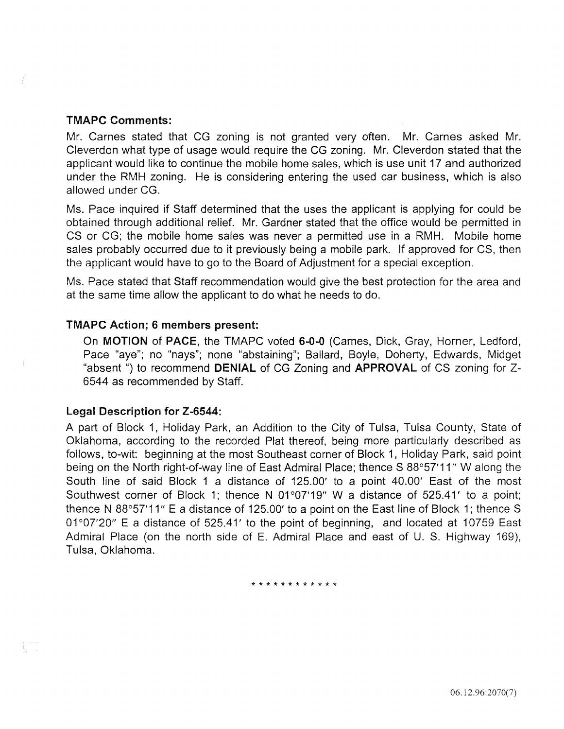#### TMAPC Comments:

Mr. Carnes stated that CG zoning is not granted very often. Mr. Carnes asked Mr. Cleverdon what type of usage would require the CG zoning. Mr. Cleverdon stated that the applicant would like to continue the mobile home sales, which is use unit 17 and authorized under the RMH zoning. He is considering entering the used car business, which is also allowed under CG.

Ms. Pace inquired if Staff determined that the uses the applicant is applying for could be obtained through additional relief. Mr. Gardner stated that the office would be permitted in CS or CG; the mobile home sales was never a permitted use in a RMH. Mobile home sales probably occurred due to it previously being a mobile park. If approved for CS, then the applicant would have to go to the Board of Adjustment for a special exception.

Ms. Pace stated that Staff recommendation would give the best protection for the area and at the same time allow the applicant to do what he needs to do.

#### TMAPC Action; 6 members present:

On MOTION of PACE, the TMAPC voted 6-0-0 (Carnes, Dick, Gray, Horner, Ledford, Pace "aye"; no "nays"; none "abstaining"; Ballard, Boyle, Doherty, Edwards, Midget "absent ") to recommend DENIAL of CG Zoning and APPROVAL of CS zoning for Z-6544 as recommended by Staff.

#### Lega! Description for Z-6544:

A part of Block 1, Holiday Park, an Addition to the City of Tulsa, Tulsa County, State of Oklahoma, according to the recorded Plat thereof, being more particularly described as follows, to-wit: beginning at the most Southeast corner of Block 1, Holiday Park, said point being on the North right-of-way line of East Admiral Place; thence S 88°57'11" W along the South line of said Block 1 a distance of 125.00' to a point 40.00' East of the most Southwest corner of Block 1; thence N 01°07'19" W a distance of 525.41' to a point; thence N 88°57'11" E a distance of 125.00' to a point on the East line of Block 1; thence S 01°07'20" E a distance of 525.41' to the point of beginning, and located at 10759 East Admiral Place (on the north side of E. Admiral Place and east of U. S. Highway 169), Tulsa, Oklahoma.

\* \* \* \* \* \* \* \* \* \* \* \*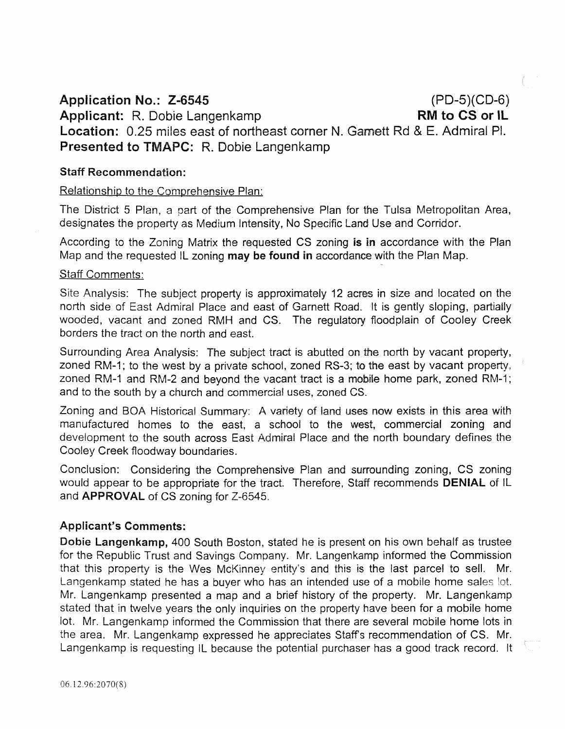Application No.: Z-6545 (PD-5)(CD-6) Applicant: R. Dobie Langenkamp RM to CS or IL Location: 0.25 miles east of northeast corner N. Gamett Rd & E. Admiral Pl. Presented to TMAPC: R. Dobie Langenkamp

### Staff Recommendation:

### Relationship to the Comprehensive Plan:

The District 5 Plan, a part of the Comprehensive Plan for the Tulsa Metropolitan Area, designates the property as Medium Intensity, No Specific Land Use and Corridor.

According to the Zoning Matrix the requested CS zoning is in accordance with the Plan Map and the requested IL zoning may be found in accordance with the Plan Map.

#### **Staff Comments:**

Site Analysis: The subject property is approximately 12 acres in size and located on the north side of East Admiral Place and east of Garnett Road. It is gently sloping, partially wooded, vacant and zoned RMH and CS. The regulatory floodplain of Cooley Creek borders the tract on the north and east.

Surrounding Area Analysis: The subject tract is abutted on the north by vacant property, zoned RM-1; to the west by a private school, zoned RS-3; to the east by vacant property, zoned RM-1 and RM-2 and beyond the vacant tract is a mobile home park, zoned RM-1; and to the south by a church and commercial uses, zoned CS.

Zoning and BOA Historical Summary: A variety of land uses now exists in this area with manufactured homes to the east, a school to the west, commercial zoning and development to the south across East Admiral Place and the north boundary defines the Cooley Creek floodway boundaries.

Conclusion: Considering the Comprehensive Plan and surrounding zoning, CS zoning would appear to be appropriate for the tract. Therefore, Staff recommends **DENIAL** of IL and APPROVAL of CS zoning for Z-6545.

### Applicant's Comments:

Dobie Langenkamp, 400 South Boston, stated he is present on his own behalf as trustee for the Republic Trust and Savings Company. Mr. Langenkamp informed the Commission that this property is the Wes McKinney entity's and this is the last parcel to sell. Mr. Langenkamp stated he has a buyer who has an intended use of a mobile home sales lot. Mr. Langenkamp presented a map and a brief history of the property. Mr. Langenkamp stated that in twelve years the only inquiries on the property have been for a mobile home lot. Mr. Langenkamp informed the Commission that there are several mobile home lots in the area. Mr. Langenkamp expressed he appreciates Staff's recommendation of CS. Mr. Langenkamp is requesting IL because the potential purchaser has a good track record. It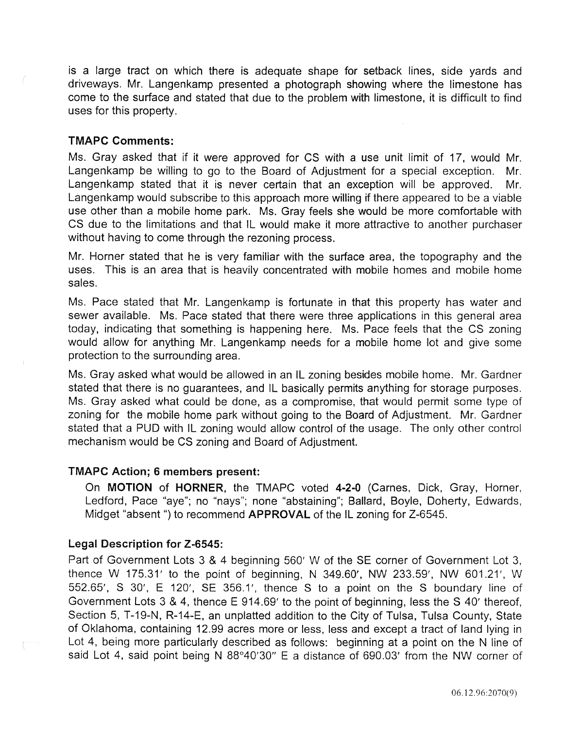is a large tract on which there is adequate shape for setback lines, side yards and driveways. Mr. Langenkamp presented a photograph showing where the limestone has come to the surface and stated that due to the problem with limestone, it is difficult to find uses for this property.

### TMAPC Comments:

Ms. Gray asked that if it were approved for CS with a use unit limit of 17, would Mr. Langenkamp be willing to go to the Board of Adjustment for a special exception. Mr. Langenkamp stated that it is never certain that an exception will be approved. Mr. Langenkamp would subscribe to this approach more willing if there appeared to be a viable use other than a mobile home park. Ms. Gray feels she would be more comfortable with CS due to the limitations and that IL would make it more attractive to another purchaser without having to come through the rezoning process.

Mr. Horner stated that he is very familiar with the surface area, the topography and the uses. This is an area that is heavily concentrated with mobile homes and mobile home sales.

Ms. Pace stated that Mr. Langenkamp is fortunate in that this property has water and sewer available. Ms. Pace stated that there were three applications in this general area today, indicating that something is happening here. Ms. Pace feels that the CS zoning would allow for anything Mr. Langenkamp needs for a mobile home lot and give some protection to the surrounding area.

Ms. Gray asked what would be allowed in an IL zoning besides mobile home. Mr. Gardner stated that there is no guarantees, and IL basically permits anything for storage purposes. Ms. Gray asked what could be done, as a compromise, that would permit some type of zoning for the mobile home park without going to the Board of Adjustment. Mr. Gardner stated that a PUD with IL zoning would allow control of the usage. The only other control mechanism would be CS zoning and Board of Adjustment.

### TMAPC Action; 6 members present:

On MOTION of HORNER, the TMAPC voted 4-2-0 (Carnes, Dick, Gray, Horner, Ledford, Pace "aye"; no "nays"; none "abstaining"; Ballard, Boyle, Doherty, Edwards, Midget "absent ") to recommend **APPROVAL** of the IL zoning for Z-6545.

### Legal Description for Z-6545:

Part of Government Lots 3 & 4 beginning 560' W of the SE corner of Government Lot 3, thence W 175.31' to the point of beginning, N 349.60', NW 233.59', NW 601.21', W 552.65', S 30', E 120', SE 356.1 ', thence S to a point on the S boundary line of Government Lots 3 & 4, thence E 914.69' to the point of beginning, less the S 40' thereof, Section 5, T-19-N, R-14-E, an unplatted addition to the City of Tulsa, Tulsa County, State of Oklahoma, containing 12.99 acres more or less, less and except a tract of land lying in Lot 4, being more particularly described as follows: beginning at a point on the N line of said Lot 4, said point being N 88°40'30" E a distance of 690.03' from the NW corner of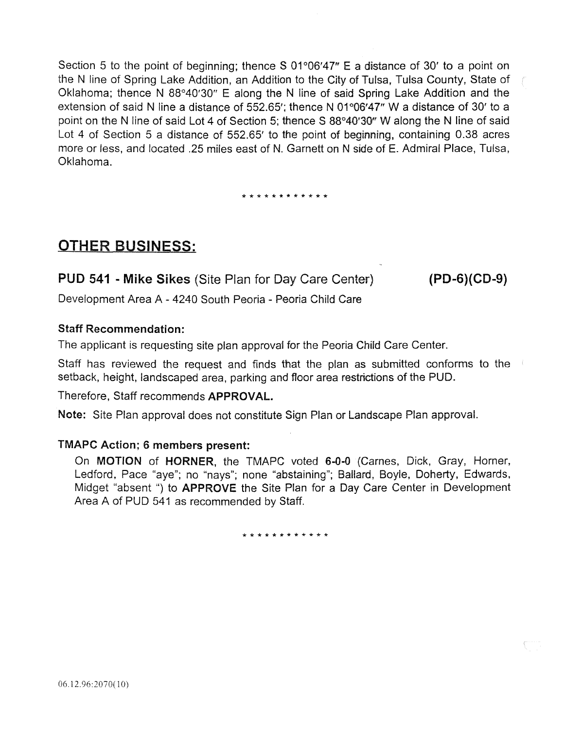Section 5 to the point of beginning; thence S  $01^{\circ}06'47''$  E a distance of 30' to a point on the N line of Spring Lake Addition, an Addition to the City of Tulsa, Tulsa County, State of Oklahoma; thence N 88°40'30" E along the N line of said Spring Lake Addition and the extension of said N line a distance of 552.65'; thence N 01°06'47" W a distance of 30' to a point on the N line of said Lot 4 of Section 5; thence S 88°40′30″ W along the N line of said Lot 4 of Section 5 a distance of 552.65' to the point of beginning, containing 0.38 acres more or less, and located .25 miles east of N. Garnett on N side of E. Admiral Place, Tulsa, Oklahoma.

\* \* \* \* \* \* \* \* \* \* \* \*

# OTHER BUSINESS:

PUD 541 - Mike Sikes (Site Plan for Day Care Center)

(PD-6)(CD-9)

Development Area A - 4240 South Peoria - Peoria Child Care

### Staff Recommendation:

The applicant is requesting site plan approval for the Peoria Child Care Center.

Staff has reviewed the request and finds that the plan as submitted conforms to the setback, height, landscaped area, parking and floor area restrictions of the PUD.

Therefore, Staff recommends APPROVAL.

Note: Site Plan approval does not constitute Sign Plan or Landscape Plan approval.

### TMAPC Action; 6 members present:

On MOTION of HORNER, the TMAPC voted 6-0-0 (Carnes, Dick, Gray, Horner, Ledford, Pace "aye"; no "nays"; none "abstaining"; Ballard, Boyle, Doherty, Edwards, Midget "absent ") to **APPROVE** the Site Plan for a Day Care Center in Development Area A of PUD 541 as recommended by Staff.

\* \* \* \* \* \* \* \* \* \* \* \*